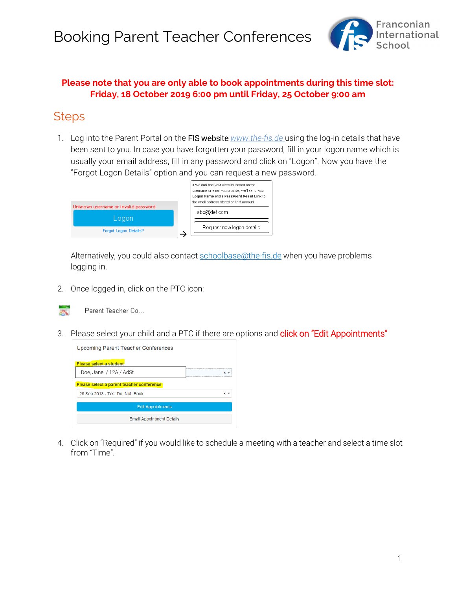

#### **Please note that you are only able to book appointments during this time slot: Friday, 18 October 2019 6:00 pm until Friday, 25 October 9:00 am**

#### **Steps**

1. Log into the Parent Portal on the FIS website *www.the-fis.de* using the log-in details that have been sent to you. In case you have forgotten your password, fill in your logon name which is usually your email address, fill in any password and click on "Logon". Now you have the "Forgot Logon Details" option and you can request a new password.

|                                       | If we can find your account based on the<br>username or email you provide, we'll send your<br>Logon Name and a Password Reset Link to |
|---------------------------------------|---------------------------------------------------------------------------------------------------------------------------------------|
| Unknown username or invalid password. | the email address stored on that account.                                                                                             |
| Logon                                 | abc@def.com                                                                                                                           |
| Forgot Logon Details?                 | Request new logon details                                                                                                             |

Alternatively, you could also contact schoolbase@the-fis.de when you have problems logging in.

2. Once logged-in, click on the PTC icon:



Parent Teacher Co...

3. Please select your child and a PTC if there are options and click on "Edit Appointments"

| Upcoming Parent Teacher Conferences       |   |
|-------------------------------------------|---|
| Please select a student                   |   |
| Doe, Jane / 12A / AdSt                    |   |
| Please select a parent teacher conference |   |
| 25 Sep 2018 - Test Do Not Book            | × |
| <b>Edit Appointments</b>                  |   |
| <b>Email Appointment Details</b>          |   |

4. Click on "Required" if you would like to schedule a meeting with a teacher and select a time slot from "Time".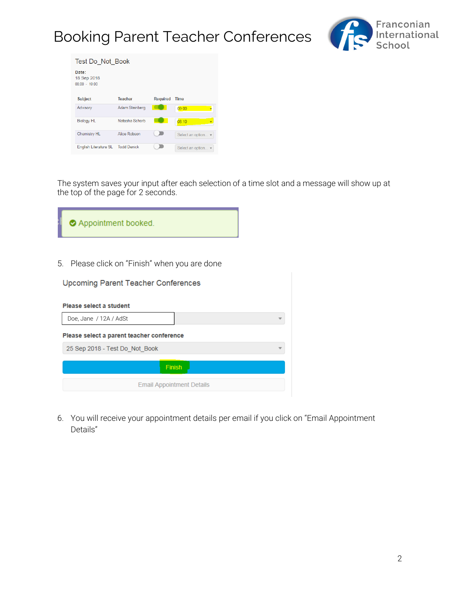# Booking Parent Teacher Conferences



| Test Do Not Book                        |                |                 |                    |
|-----------------------------------------|----------------|-----------------|--------------------|
| Date:<br>18 Sep 2018<br>$08:00 - 19:00$ |                |                 |                    |
| <b>Subject</b>                          | <b>Teacher</b> | <b>Required</b> | Time               |
| Advisory                                | Adam Steinberg |                 | 09:00              |
| <b>Biology HL</b>                       | Natasha Schorb |                 | 08:10              |
| <b>Chemistry HL</b>                     | Alice Robson   |                 | Select an option ▼ |
| English Literature SL Todd Denick       |                |                 | Select an option v |

The system saves your input after each selection of a time slot and a message will show up at the top of the page for 2 seconds.

| Appointment booked.                           |
|-----------------------------------------------|
| 5. Please click on "Finish" when you are done |

| <b>Upcoming Parent Teacher Conferences</b> |  |
|--------------------------------------------|--|
| Please select a student                    |  |
| Doe, Jane / 12A / AdSt                     |  |
| Please select a parent teacher conference  |  |
| 25 Sep 2018 - Test Do Not Book             |  |
| Finish                                     |  |
| <b>Email Appointment Details</b>           |  |

6. You will receive your appointment details per email if you click on "Email Appointment Details"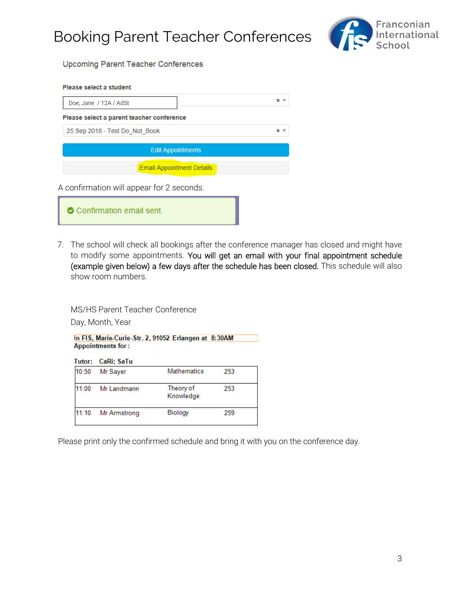Booking Parent Teacher Conferences



**Upcoming Parent Teacher Conferences** 

| Please select a student                   |                   |
|-------------------------------------------|-------------------|
| Doe, Jane / 12A / AdSt                    | $\times$ $\times$ |
| Please select a parent teacher conference |                   |
| 25 Sep 2018 - Test Do Not Book            | ×                 |
| <b>Edit Appointments</b>                  |                   |
| <b>Email Appointment Details</b>          |                   |
| A confirmation will appear for 2 seconds. |                   |

| • Confirmation email sent. |
|----------------------------|
|                            |

7. The school will check all bookings after the conference manager has closed and might have to modify some appointments. You will get an email with your final appointment schedule (example given below) a few days after the schedule has been closed. This schedule will also show room numbers.

MS/HS Parent Teacher Conference

Day, Month, Year

In FIS, Marie-Curie-Str. 2, 91052 Erlangen at 8:30AM **Appointments for:** 

|       | Tutor: CaRi; SaTu     |                        |     |
|-------|-----------------------|------------------------|-----|
| 10:50 | Mr Sayer              | Mathematics            | 253 |
| 11:00 | Mr Landmann<br>$\sim$ | Theory of<br>Knowledge | 253 |
| 11:10 | Mr Armstrong          | Biology                | 259 |

Please print only the confirmed schedule and bring it with you on the conference day.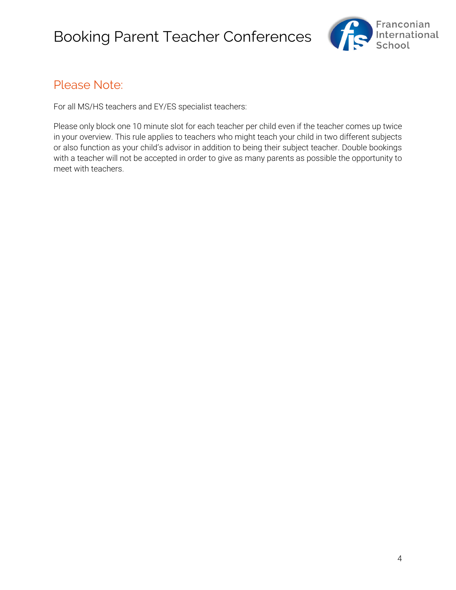

### Please Note:

For all MS/HS teachers and EY/ES specialist teachers:

Please only block one 10 minute slot for each teacher per child even if the teacher comes up twice in your overview. This rule applies to teachers who might teach your child in two different subjects or also function as your child's advisor in addition to being their subject teacher. Double bookings with a teacher will not be accepted in order to give as many parents as possible the opportunity to meet with teachers.